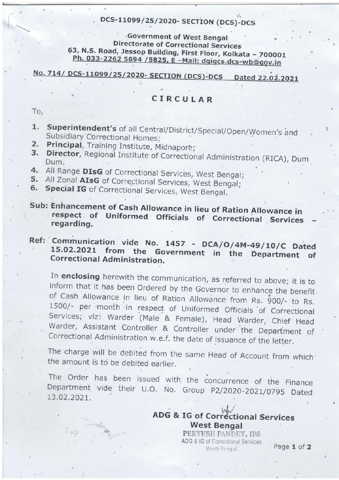## DCS-11099/25/2020- SECTION (DCS)-DCS

Government of West Bengal **Directorate of Correctional Services** 63, N.S. Road, Jessop Building, First Floor, Kolkata - 700001 Ph. 033-2262 5694 / 5825, E - Mail: dgigcs.dcs-wb@gov.in

#### No. 714/ DCS-11099/25/2020- SECTION (DCS)-DCS Dated 22.02.2021

#### CIRCULAR

To,

- 1. Superintendent's of all Central/District/Special/Open/Women's and Subsidiary Correctional Homes;
- Principal, Training Institute, Midnapore;  $2.7$
- Director, Regional Institute of Correctional Administration (RICA), Dum 3. Dum.
- 4. All Range DIsG of Correctional Services, West Bengal;
- 5. All Zonal AIsG of Correctional Services, West Bengal;
- 6. Special IG of Correctional Services, West Bengal.
- Sub: Enhancement of Cash Allowance in lieu of Ration Allowance in respect of Uniformed Officials of Correctional Services regarding.
- Ref: Communication vide No. 1457 DCA/O/4M-49/10/C Dated 15.02.2021 from the Government in the Department **of Correctional Administration.**

In enclosing herewith the communication, as referred to above; it is to inform that it has been Ordered by the Governor to enhance the benefit. of Cash Allowance in lieu of Ration Allowance from Rs. 900/- to Rs. 1500/- per month in respect of Uniformed Officials of Correctional Services; viz: Warder (Male & Female), Head Warder, Chief Head Warder, Assistant Controller & Controller under the Department of Correctional Administration w.e.f. the date of issuance of the letter.

The charge will be debited from the same Head of Account from which the amount is to be debited earlier.

The Order has been issued with the concurrence of the Finance Department vide their U.O. No. Group P2/2020-2021/0795 Dated 13.02.2021.

### **ADG & IG of Correctional Services West Bengal**

PEEYUSH PANDEY, IPS ADG & IG of Correctional Services West-Bengal

Page 1 of 2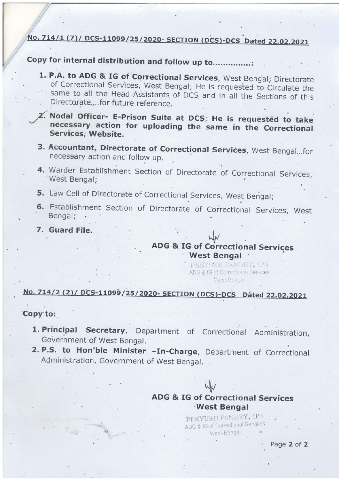# No. 714/1 (7)/ DCS-11099/25/2020- SECTION (DCS)-DCS Dated 22.02.2021

# Copy for internal distribution and follow up to...............

- 1. P.A. to ADG & IG of Correctional Services, West Bengal; Directorate of Correctional Services, West Bengal; He is requested to Circulate the same to all the Head Assistants of DCS and in all the Sections of this Directorate....for future reference.
- 2. Nodal Officer- E-Prison Suite at DCS; He is requested to take necessary action for uploading the same in the Correctional Services, Website.
- 3. Accountant, Directorate of Correctional Services, West Bengal...for necessary action and follow up.
- 4. Warder Establishment Section of Directorate of Correctional Services, West Bengal;
- 5. Law Cell of Directorate of Correctional Services, West Bengal;
- 6. Establishment Section of Directorate of Correctional Services, West Bengal;
- 7. Guard File.

### **ADG & IG of Correctional Services West Bengal**

PEEYUSH PANDEY, 128 ADG & IG of Correctional Services West-Beneal

# No. 714/2 (2)/ DCS-11099/25/2020- SECTION (DCS)-DCS Dated 22.02.2021

Copy to:

- 1. Principal Secretary, Department of Correctional Administration, Government of West Bengal.
- 2. P.S. to Hon'ble Minister In-Charge, Department of Correctional Administration, Government of West Bengal.

# **ADG & IG of Correctional Services West Bengal**

PEEYUSH PANDEY, IPS ADG & IG-of Correctional Services West-Bengal